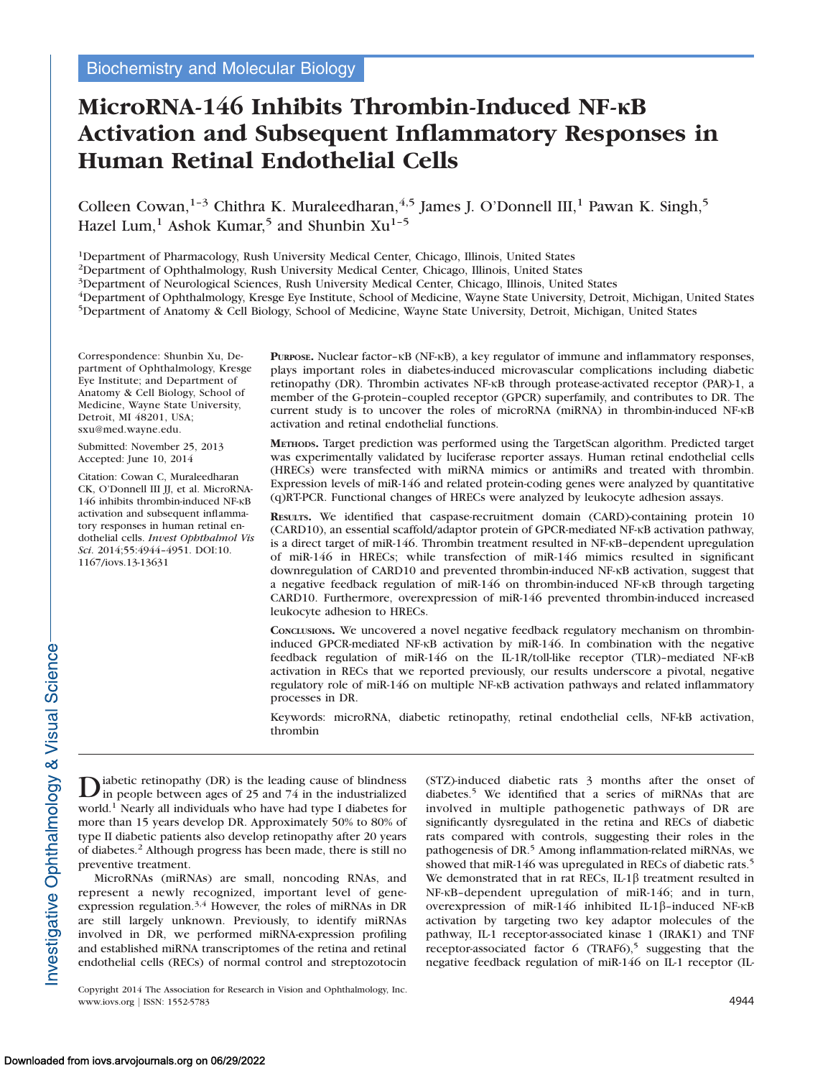# MicroRNA-146 Inhibits Thrombin-Induced NF-KB Activation and Subsequent Inflammatory Responses in Human Retinal Endothelial Cells

Colleen Cowan,<sup>1-3</sup> Chithra K. Muraleedharan,<sup>4,5</sup> James J. O'Donnell III,<sup>1</sup> Pawan K. Singh,<sup>5</sup> Hazel Lum,<sup>1</sup> Ashok Kumar,<sup>5</sup> and Shunbin Xu<sup>1-5</sup>

1Department of Pharmacology, Rush University Medical Center, Chicago, Illinois, United States

2Department of Ophthalmology, Rush University Medical Center, Chicago, Illinois, United States

3Department of Neurological Sciences, Rush University Medical Center, Chicago, Illinois, United States

4Department of Ophthalmology, Kresge Eye Institute, School of Medicine, Wayne State University, Detroit, Michigan, United States 5Department of Anatomy & Cell Biology, School of Medicine, Wayne State University, Detroit, Michigan, United States

Correspondence: Shunbin Xu, Department of Ophthalmology, Kresge Eye Institute; and Department of Anatomy & Cell Biology, School of Medicine, Wayne State University, Detroit, MI 48201, USA; sxu@med.wayne.edu.

Submitted: November 25, 2013 Accepted: June 10, 2014

Citation: Cowan C, Muraleedharan CK, O'Donnell III JJ, et al. MicroRNA-146 inhibits thrombin-induced NF-KB activation and subsequent inflammatory responses in human retinal endothelial cells. Invest Ophthalmol Vis Sci. 2014;55:4944–4951. DOI:10. 1167/iovs.13-13631

**PURPOSE.** Nuclear factor– $k$ B (NF- $k$ B), a key regulator of immune and inflammatory responses, plays important roles in diabetes-induced microvascular complications including diabetic retinopathy (DR). Thrombin activates NF-KB through protease-activated receptor (PAR)-1, a member of the G-protein–coupled receptor (GPCR) superfamily, and contributes to DR. The current study is to uncover the roles of microRNA (miRNA) in thrombin-induced NF-KB activation and retinal endothelial functions.

METHODS. Target prediction was performed using the TargetScan algorithm. Predicted target was experimentally validated by luciferase reporter assays. Human retinal endothelial cells (HRECs) were transfected with miRNA mimics or antimiRs and treated with thrombin. Expression levels of miR-146 and related protein-coding genes were analyzed by quantitative (q)RT-PCR. Functional changes of HRECs were analyzed by leukocyte adhesion assays.

RESULTS. We identified that caspase-recruitment domain (CARD)-containing protein 10 (CARD10), an essential scaffold/adaptor protein of GPCR-mediated NF-KB activation pathway, is a direct target of miR-146. Thrombin treatment resulted in  $NF-RB$ –dependent upregulation of miR-146 in HRECs; while transfection of miR-146 mimics resulted in significant downregulation of CARD10 and prevented thrombin-induced NF- $\kappa$ B activation, suggest that a negative feedback regulation of miR-146 on thrombin-induced NF- $\kappa$ B through targeting CARD10. Furthermore, overexpression of miR-146 prevented thrombin-induced increased leukocyte adhesion to HRECs.

CONCLUSIONS. We uncovered a novel negative feedback regulatory mechanism on thrombininduced GPCR-mediated NF- $\kappa$ B activation by miR-146. In combination with the negative feedback regulation of miR-146 on the IL-1R/toll-like receptor (TLR)-mediated NF- $\kappa$ B activation in RECs that we reported previously, our results underscore a pivotal, negative regulatory role of miR-146 on multiple NF-KB activation pathways and related inflammatory processes in DR.

Keywords: microRNA, diabetic retinopathy, retinal endothelial cells, NF-kB activation, thrombin

Diabetic retinopathy (DR) is the leading cause of blindness<br>in people between ages of 25 and 74 in the industrialized world.<sup>1</sup> Nearly all individuals who have had type I diabetes for more than 15 years develop DR. Approximately 50% to 80% of type II diabetic patients also develop retinopathy after 20 years of diabetes.<sup>2</sup> Although progress has been made, there is still no preventive treatment.

MicroRNAs (miRNAs) are small, noncoding RNAs, and represent a newly recognized, important level of geneexpression regulation.<sup>3,4</sup> However, the roles of miRNAs in DR are still largely unknown. Previously, to identify miRNAs involved in DR, we performed miRNA-expression profiling and established miRNA transcriptomes of the retina and retinal endothelial cells (RECs) of normal control and streptozotocin (STZ)-induced diabetic rats 3 months after the onset of diabetes.<sup>5</sup> We identified that a series of miRNAs that are involved in multiple pathogenetic pathways of DR are significantly dysregulated in the retina and RECs of diabetic rats compared with controls, suggesting their roles in the pathogenesis of DR.<sup>5</sup> Among inflammation-related miRNAs, we showed that miR-146 was upregulated in RECs of diabetic rats.<sup>5</sup> We demonstrated that in rat RECs, IL-1 $\beta$  treatment resulted in NF-KB-dependent upregulation of miR-146; and in turn, overexpression of miR-146 inhibited IL-1 $\beta$ -induced NF- $\kappa$ B activation by targeting two key adaptor molecules of the pathway, IL-1 receptor-associated kinase 1 (IRAK1) and TNF receptor-associated factor  $6$  (TRAF6),<sup>5</sup> suggesting that the negative feedback regulation of miR-146 on IL-1 receptor (IL-

Copyright 2014 The Association for Research in Vision and Ophthalmology, Inc. www.iovs.org | ISSN: 1552-5783 4944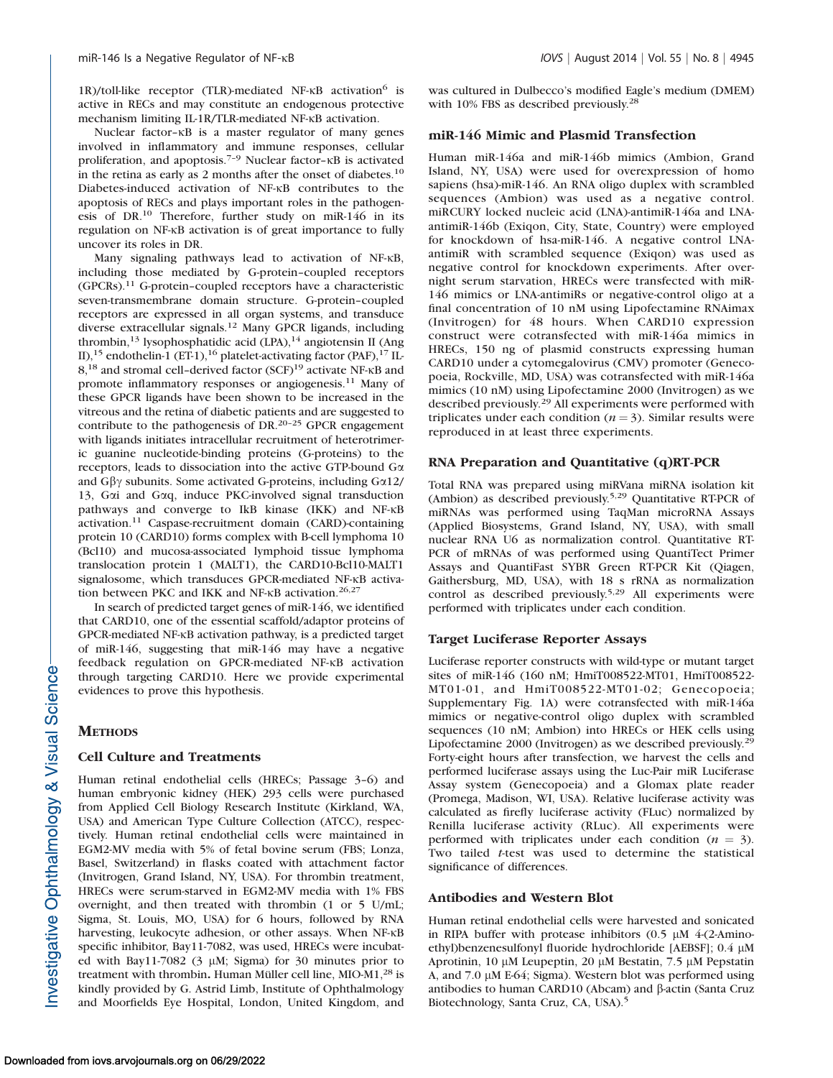1R)/toll-like receptor (TLR)-mediated NF- $\kappa$ B activation<sup>6</sup> is active in RECs and may constitute an endogenous protective mechanism limiting IL-1R/TLR-mediated NF-KB activation.

Nuclear factor- $\kappa$ B is a master regulator of many genes involved in inflammatory and immune responses, cellular proliferation, and apoptosis.<sup>7-9</sup> Nuclear factor- $\kappa$ B is activated in the retina as early as 2 months after the onset of diabetes.<sup>10</sup> Diabetes-induced activation of NF-KB contributes to the apoptosis of RECs and plays important roles in the pathogenesis of DR.10 Therefore, further study on miR-146 in its regulation on NF-<sub>KB</sub> activation is of great importance to fully uncover its roles in DR.

Many signaling pathways lead to activation of NF-KB, including those mediated by G-protein–coupled receptors (GPCRs).<sup>11</sup> G-protein–coupled receptors have a characteristic seven-transmembrane domain structure. G-protein–coupled receptors are expressed in all organ systems, and transduce diverse extracellular signals.<sup>12</sup> Many GPCR ligands, including thrombin,<sup>13</sup> lysophosphatidic acid (LPA),<sup>14</sup> angiotensin II (Ang II),<sup>15</sup> endothelin-1 (ET-1),<sup>16</sup> platelet-activating factor (PAF),<sup>17</sup> IL- $8<sup>18</sup>$  and stromal cell-derived factor (SCF)<sup>19</sup> activate NF- $\kappa$ B and promote inflammatory responses or angiogenesis.<sup>11</sup> Many of these GPCR ligands have been shown to be increased in the vitreous and the retina of diabetic patients and are suggested to contribute to the pathogenesis of DR.20–25 GPCR engagement with ligands initiates intracellular recruitment of heterotrimeric guanine nucleotide-binding proteins (G-proteins) to the receptors, leads to dissociation into the active GTP-bound Ga and  $G\beta\gamma$  subunits. Some activated G-proteins, including  $G\alpha12$ / 13, Gai and Gaq, induce PKC-involved signal transduction pathways and converge to IkB kinase (IKK) and NF-KB activation.<sup>11</sup> Caspase-recruitment domain (CARD)-containing protein 10 (CARD10) forms complex with B-cell lymphoma 10 (Bcl10) and mucosa-associated lymphoid tissue lymphoma translocation protein 1 (MALT1), the CARD10-Bcl10-MALT1 signalosome, which transduces GPCR-mediated NF-KB activation between PKC and IKK and NF- $\kappa$ B activation.<sup>26,27</sup>

In search of predicted target genes of miR-146, we identified that CARD10, one of the essential scaffold/adaptor proteins of GPCR-mediated NF-KB activation pathway, is a predicted target of miR-146, suggesting that miR-146 may have a negative feedback regulation on GPCR-mediated NF-KB activation through targeting CARD10. Here we provide experimental evidences to prove this hypothesis.

# **METHODS**

# Cell Culture and Treatments

Human retinal endothelial cells (HRECs; Passage 3–6) and human embryonic kidney (HEK) 293 cells were purchased from Applied Cell Biology Research Institute (Kirkland, WA, USA) and American Type Culture Collection (ATCC), respectively. Human retinal endothelial cells were maintained in EGM2-MV media with 5% of fetal bovine serum (FBS; Lonza, Basel, Switzerland) in flasks coated with attachment factor (Invitrogen, Grand Island, NY, USA). For thrombin treatment, HRECs were serum-starved in EGM2-MV media with 1% FBS overnight, and then treated with thrombin (1 or 5 U/mL; Sigma, St. Louis, MO, USA) for 6 hours, followed by RNA harvesting, leukocyte adhesion, or other assays. When NF-KB specific inhibitor, Bay11-7082, was used, HRECs were incubated with Bay11-7082 (3  $\mu$ M; Sigma) for 30 minutes prior to treatment with thrombin. Human Müller cell line, MIO-M1,<sup>28</sup> is kindly provided by G. Astrid Limb, Institute of Ophthalmology and Moorfields Eye Hospital, London, United Kingdom, and was cultured in Dulbecco's modified Eagle's medium (DMEM) with 10% FBS as described previously.<sup>28</sup>

## miR-146 Mimic and Plasmid Transfection

Human miR-146a and miR-146b mimics (Ambion, Grand Island, NY, USA) were used for overexpression of homo sapiens (hsa)-miR-146. An RNA oligo duplex with scrambled sequences (Ambion) was used as a negative control. miRCURY locked nucleic acid (LNA)-antimiR-146a and LNAantimiR-146b (Exiqon, City, State, Country) were employed for knockdown of hsa-miR-146. A negative control LNAantimiR with scrambled sequence (Exiqon) was used as negative control for knockdown experiments. After overnight serum starvation, HRECs were transfected with miR-146 mimics or LNA-antimiRs or negative-control oligo at a final concentration of 10 nM using Lipofectamine RNAimax (Invitrogen) for 48 hours. When CARD10 expression construct were cotransfected with miR-146a mimics in HRECs, 150 ng of plasmid constructs expressing human CARD10 under a cytomegalovirus (CMV) promoter (Genecopoeia, Rockville, MD, USA) was cotransfected with miR-146a mimics (10 nM) using Lipofectamine 2000 (Invitrogen) as we described previously.<sup>29</sup> All experiments were performed with triplicates under each condition ( $n = 3$ ). Similar results were reproduced in at least three experiments.

# RNA Preparation and Quantitative (q)RT-PCR

Total RNA was prepared using miRVana miRNA isolation kit (Ambion) as described previously.5,29 Quantitative RT-PCR of miRNAs was performed using TaqMan microRNA Assays (Applied Biosystems, Grand Island, NY, USA), with small nuclear RNA U6 as normalization control. Quantitative RT-PCR of mRNAs of was performed using QuantiTect Primer Assays and QuantiFast SYBR Green RT-PCR Kit (Qiagen, Gaithersburg, MD, USA), with 18 s rRNA as normalization control as described previously.<sup>5,29</sup> All experiments were performed with triplicates under each condition.

## Target Luciferase Reporter Assays

Luciferase reporter constructs with wild-type or mutant target sites of miR-146 (160 nM; HmiT008522-MT01, HmiT008522- MT01-01, and HmiT008522-MT01-02; Genecopoeia; [Supplementary Fig. 1A](http://www.iovs.org/content/55/8/4944/suppl/DC1)) were cotransfected with miR-146a mimics or negative-control oligo duplex with scrambled sequences (10 nM; Ambion) into HRECs or HEK cells using Lipofectamine 2000 (Invitrogen) as we described previously.<sup>29</sup> Forty-eight hours after transfection, we harvest the cells and performed luciferase assays using the Luc-Pair miR Luciferase Assay system (Genecopoeia) and a Glomax plate reader (Promega, Madison, WI, USA). Relative luciferase activity was calculated as firefly luciferase activity (FLuc) normalized by Renilla luciferase activity (RLuc). All experiments were performed with triplicates under each condition ( $n = 3$ ). Two tailed t-test was used to determine the statistical significance of differences.

# Antibodies and Western Blot

Human retinal endothelial cells were harvested and sonicated in RIPA buffer with protease inhibitors  $(0.5 \mu M 4-(2-Amin-1))$ ethyl)benzenesulfonyl fluoride hydrochloride [AEBSF]; 0.4 µM Aprotinin, 10  $\mu$ M Leupeptin, 20  $\mu$ M Bestatin, 7.5  $\mu$ M Pepstatin A, and 7.0 μM E-64; Sigma). Western blot was performed using antibodies to human CARD10 (Abcam) and  $\beta$ -actin (Santa Cruz Biotechnology, Santa Cruz, CA, USA).<sup>5</sup>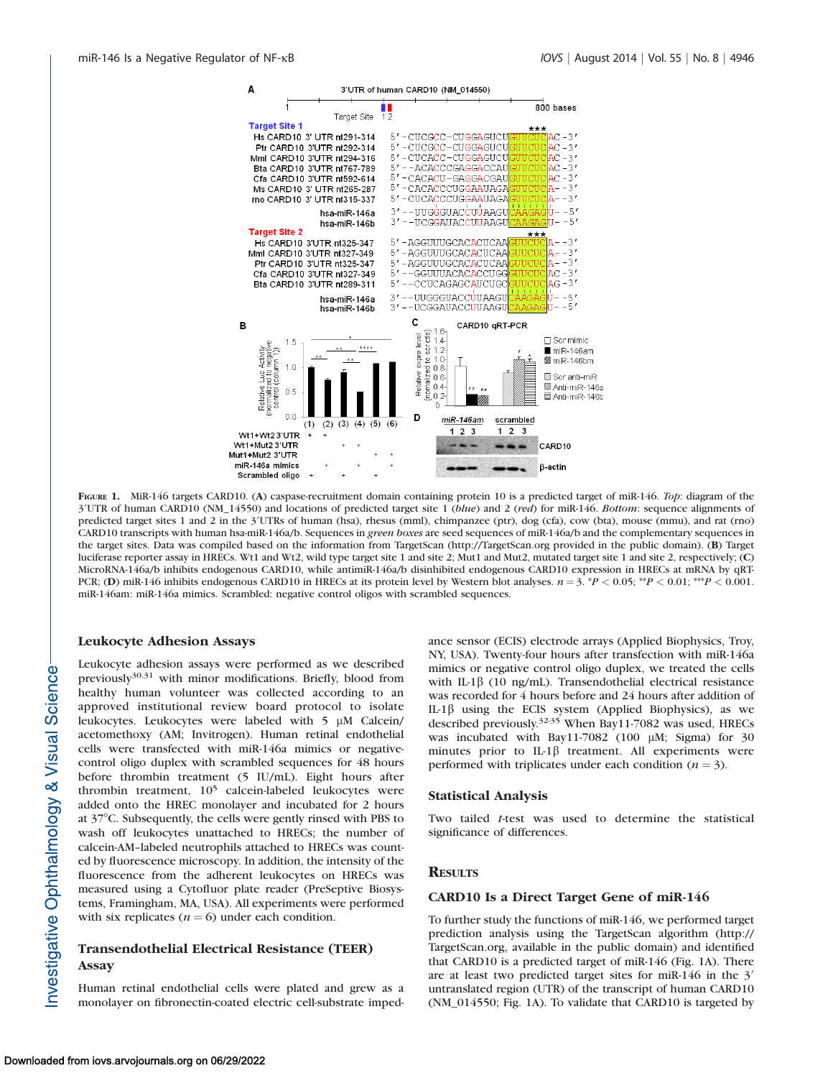

FIGURE 1. MiR-146 targets CARD10. (A) caspase-recruitment domain containing protein 10 is a predicted target of miR-146. Top: diagram of the 3'UTR of human CARD10 (NM\_14550) and locations of predicted target site 1 (blue) and 2 (red) for miR-146. Bottom: sequence alignments of predicted target sites 1 and 2 in the 3'UTRs of human (hsa), rhesus (mml), chimpanzee (ptr), dog (cfa), cow (bta), mouse (mmu), and rat (rno) CARD10 transcripts with human hsa-miR-146a/b. Sequences in green boxes are seed sequences of miR-146a/b and the complementary sequences in the target sites. Data was compiled based on the information from TargetScan (http://TargetScan.org provided in the public domain). (B) Target luciferase reporter assay in HRECs. Wt1 and Wt2, wild type target site 1 and site 2; Mut1 and Mut2, mutated target site 1 and site 2, respectively; (C) MicroRNA-146a/b inhibits endogenous CARD10, while antimiR-146a/b disinhibited endogenous CARD10 expression in HRECs at mRNA by qRT-PCR; (D) miR-146 inhibits endogenous CARD10 in HRECs at its protein level by Western blot analyses.  $n = 3$ . \*P < 0.05; \*\*P < 0.01; \*\*P < 0.001. miR-146am: miR-146a mimics. Scrambled: negative control oligos with scrambled sequences.

## Leukocyte Adhesion Assays

Leukocyte adhesion assays were performed as we described previously<sup>30,31</sup> with minor modifications. Briefly, blood from healthy human volunteer was collected according to an approved institutional review board protocol to isolate leukocytes. Leukocytes were labeled with  $5 \mu M$  Calcein/ acetomethoxy (AM; Invitrogen). Human retinal endothelial cells were transfected with miR-146a mimics or negativecontrol oligo duplex with scrambled sequences for 48 hours before thrombin treatment (5 IU/mL). Eight hours after thrombin treatment, 10<sup>5</sup> calcein-labeled leukocytes were added onto the HREC monolayer and incubated for 2 hours at 378C. Subsequently, the cells were gently rinsed with PBS to wash off leukocytes unattached to HRECs; the number of calcein-AM–labeled neutrophils attached to HRECs was counted by fluorescence microscopy. In addition, the intensity of the fluorescence from the adherent leukocytes on HRECs was measured using a Cytofluor plate reader (PreSeptive Biosystems, Framingham, MA, USA). All experiments were performed with six replicates ( $n = 6$ ) under each condition.

# Transendothelial Electrical Resistance (TEER) Assay

Human retinal endothelial cells were plated and grew as a monolayer on fibronectin-coated electric cell-substrate impedance sensor (ECIS) electrode arrays (Applied Biophysics, Troy, NY, USA). Twenty-four hours after transfection with miR-146a mimics or negative control oligo duplex, we treated the cells with IL-1 $\beta$  (10 ng/mL). Transendothelial electrical resistance was recorded for 4 hours before and 24 hours after addition of IL-1 $\beta$  using the ECIS system (Applied Biophysics), as we described previously.32-35 When Bay11-7082 was used, HRECs was incubated with Bay11-7082 (100  $\mu$ M; Sigma) for 30 minutes prior to IL-1<sup>β</sup> treatment. All experiments were performed with triplicates under each condition  $(n = 3)$ .

#### Statistical Analysis

Two tailed t-test was used to determine the statistical significance of differences.

## **RESULTS**

## CARD10 Is a Direct Target Gene of miR-146

To further study the functions of miR-146, we performed target prediction analysis using the TargetScan algorithm (http:// TargetScan.org, available in the public domain) and identified that CARD10 is a predicted target of miR-146 (Fig. 1A). There are at least two predicted target sites for miR-146 in the  $3'$ untranslated region (UTR) of the transcript of human CARD10 (NM\_014550; Fig. 1A). To validate that CARD10 is targeted by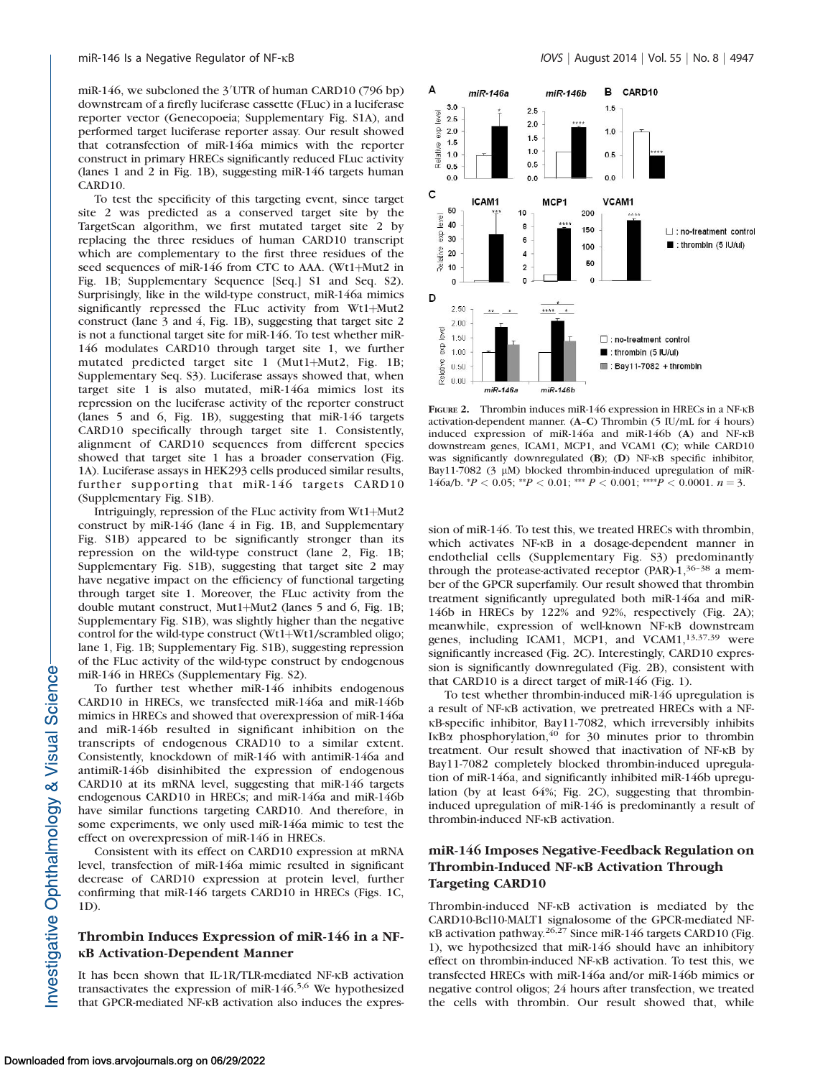miR-146, we subcloned the 3'UTR of human CARD10 (796 bp) downstream of a firefly luciferase cassette (FLuc) in a luciferase reporter vector (Genecopoeia; [Supplementary Fig. S1A\)](http://www.iovs.org/content/55/8/4944/suppl/DC1), and performed target luciferase reporter assay. Our result showed that cotransfection of miR-146a mimics with the reporter construct in primary HRECs significantly reduced FLuc activity (lanes 1 and 2 in Fig. 1B), suggesting miR-146 targets human CARD10.

To test the specificity of this targeting event, since target site 2 was predicted as a conserved target site by the TargetScan algorithm, we first mutated target site 2 by replacing the three residues of human CARD10 transcript which are complementary to the first three residues of the seed sequences of miR-146 from CTC to AAA. (Wt1+Mut2 in Fig. 1B; [Supplementary Sequence \[Seq.\] S1 and Seq. S2\)](http://www.iovs.org/content/55/8/4944/suppl/DC1). Surprisingly, like in the wild-type construct, miR-146a mimics significantly repressed the FLuc activity from Wt1+Mut2 construct (lane 3 and 4, Fig. 1B), suggesting that target site 2 is not a functional target site for miR-146. To test whether miR-146 modulates CARD10 through target site 1, we further mutated predicted target site 1 (Mut1+Mut2, Fig. 1B; [Supplementary Seq. S3](http://www.iovs.org/content/55/8/4944/suppl/DC1)). Luciferase assays showed that, when target site 1 is also mutated, miR-146a mimics lost its repression on the luciferase activity of the reporter construct (lanes 5 and 6, Fig. 1B), suggesting that miR-146 targets CARD10 specifically through target site 1. Consistently, alignment of CARD10 sequences from different species showed that target site 1 has a broader conservation (Fig. 1A). Luciferase assays in HEK293 cells produced similar results, further supporting that miR-146 targets CARD10 ([Supplementary Fig. S1B](http://www.iovs.org/content/55/8/4944/suppl/DC1)).

Intriguingly, repression of the FLuc activity from  $Wt1+Mut2$ construct by miR-146 (lane 4 in Fig. 1B, and [Supplementary](http://www.iovs.org/content/55/8/4944/suppl/DC1) [Fig. S1B\)](http://www.iovs.org/content/55/8/4944/suppl/DC1) appeared to be significantly stronger than its repression on the wild-type construct (lane 2, Fig. 1B; [Supplementary Fig. S1B](http://www.iovs.org/content/55/8/4944/suppl/DC1)), suggesting that target site 2 may have negative impact on the efficiency of functional targeting through target site 1. Moreover, the FLuc activity from the double mutant construct, Mut1+Mut2 (lanes 5 and 6, Fig. 1B; [Supplementary Fig. S1B](http://www.iovs.org/content/55/8/4944/suppl/DC1)), was slightly higher than the negative control for the wild-type construct (Wt1+Wt1/scrambled oligo; lane 1, Fig. 1B; [Supplementary Fig. S1B\)](http://www.iovs.org/content/55/8/4944/suppl/DC1), suggesting repression of the FLuc activity of the wild-type construct by endogenous miR-146 in HRECs [\(Supplementary Fig. S2](http://www.iovs.org/content/55/8/4944/suppl/DC1)).

To further test whether miR-146 inhibits endogenous CARD10 in HRECs, we transfected miR-146a and miR-146b mimics in HRECs and showed that overexpression of miR-146a and miR-146b resulted in significant inhibition on the transcripts of endogenous CRAD10 to a similar extent. Consistently, knockdown of miR-146 with antimiR-146a and antimiR-146b disinhibited the expression of endogenous CARD10 at its mRNA level, suggesting that miR-146 targets endogenous CARD10 in HRECs; and miR-146a and miR-146b have similar functions targeting CARD10. And therefore, in some experiments, we only used miR-146a mimic to test the effect on overexpression of miR-146 in HRECs.

Consistent with its effect on CARD10 expression at mRNA level, transfection of miR-146a mimic resulted in significant decrease of CARD10 expression at protein level, further confirming that miR-146 targets CARD10 in HRECs (Figs. 1C, 1D).

# Thrombin Induces Expression of miR-146 in a NF-**KB Activation-Dependent Manner**

It has been shown that IL-1R/TLR-mediated NF-KB activation transactivates the expression of miR-146.5,6 We hypothesized that GPCR-mediated NF-KB activation also induces the expres-



FIGURE 2. Thrombin induces miR-146 expression in HRECs in a NF- $\kappa$ B activation-dependent manner. (A–C) Thrombin (5 IU/mL for 4 hours) induced expression of miR-146a and miR-146b (A) and NF-KB downstream genes, ICAM1, MCP1, and VCAM1 (C); while CARD10 was significantly downregulated  $(B)$ ;  $(D)$  NF- $\kappa$ B specific inhibitor, Bay11-7082 (3  $\mu$ M) blocked thrombin-induced upregulation of miR-146a/b.  ${}^*P$  < 0.05;  ${}^{**}P$  < 0.01;  ${}^{***}P$  < 0.001;  ${}^{***}P$  < 0.0001.  $n = 3$ .

sion of miR-146. To test this, we treated HRECs with thrombin, which activates NF-KB in a dosage-dependent manner in endothelial cells [\(Supplementary Fig. S3](http://www.iovs.org/content/55/8/4944/suppl/DC1)) predominantly through the protease-activated receptor (PAR)- $1,36-38$  a member of the GPCR superfamily. Our result showed that thrombin treatment significantly upregulated both miR-146a and miR-146b in HRECs by 122% and 92%, respectively (Fig. 2A); meanwhile, expression of well-known NF-KB downstream genes, including ICAM1, MCP1, and VCAM1,<sup>13,37,39</sup> were significantly increased (Fig. 2C). Interestingly, CARD10 expression is significantly downregulated (Fig. 2B), consistent with that CARD10 is a direct target of miR-146 (Fig. 1).

To test whether thrombin-induced miR-146 upregulation is a result of NF-KB activation, we pretreated HRECs with a NF- $\kappa$ B-specific inhibitor, Bay11-7082, which irreversibly inhibits IKB $\alpha$  phosphorylation, <sup>40</sup> for 30 minutes prior to thrombin treatment. Our result showed that inactivation of NF-KB by Bay11-7082 completely blocked thrombin-induced upregulation of miR-146a, and significantly inhibited miR-146b upregulation (by at least 64%; Fig. 2C), suggesting that thrombininduced upregulation of miR-146 is predominantly a result of thrombin-induced NF-KB activation.

# miR-146 Imposes Negative-Feedback Regulation on Thrombin-Induced NF-KB Activation Through Targeting CARD10

Thrombin-induced NF-KB activation is mediated by the CARD10-Bcl10-MALT1 signalosome of the GPCR-mediated NF- $\kappa$ B activation pathway.<sup>26,27</sup> Since miR-146 targets CARD10 (Fig. 1), we hypothesized that miR-146 should have an inhibitory effect on thrombin-induced NF-KB activation. To test this, we transfected HRECs with miR-146a and/or miR-146b mimics or negative control oligos; 24 hours after transfection, we treated the cells with thrombin. Our result showed that, while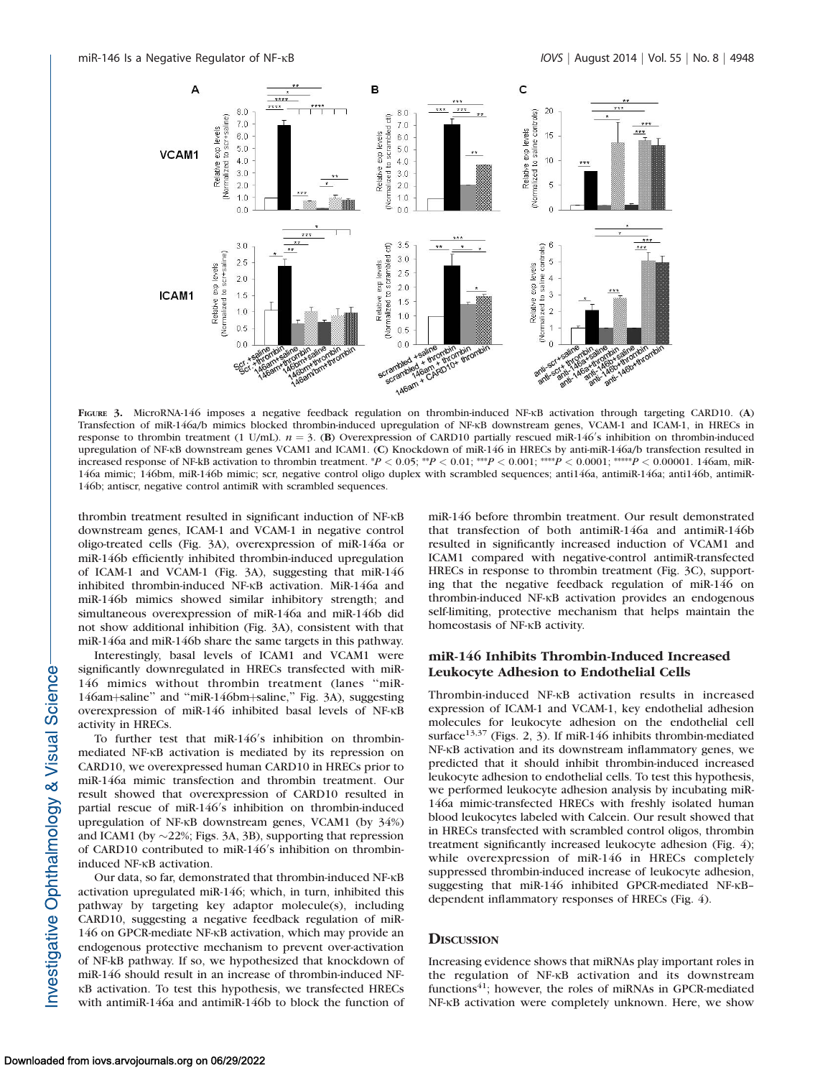

FIGURE 3. MicroRNA-146 imposes a negative feedback regulation on thrombin-induced NF-KB activation through targeting CARD10. (A) Transfection of miR-146a/b mimics blocked thrombin-induced upregulation of NF-KB downstream genes, VCAM-1 and ICAM-1, in HRECs in response to thrombin treatment (1 U/mL).  $n = 3$ . (B) Overexpression of CARD10 partially rescued miR-146's inhibition on thrombin-induced upregulation of NF-kB downstream genes VCAM1 and ICAM1. (C) Knockdown of miR-146 in HRECs by anti-miR-146a/b transfection resulted in increased response of NF-kB activation to thrombin treatment. \*P < 0.05; \*\*P < 0.01; \*\*\*\*P < 0.0001; \*\*\*\*P < 0.0001. 146am, miR-146a mimic; 146bm, miR-146b mimic; scr, negative control oligo duplex with scrambled sequences; anti146a, antimiR-146a; anti146b, antimiR-146b; antiscr, negative control antimiR with scrambled sequences.

thrombin treatment resulted in significant induction of NF-KB downstream genes, ICAM-1 and VCAM-1 in negative control oligo-treated cells (Fig. 3A), overexpression of miR-146a or miR-146b efficiently inhibited thrombin-induced upregulation of ICAM-1 and VCAM-1 (Fig. 3A), suggesting that miR-146 inhibited thrombin-induced NF-KB activation. MiR-146a and miR-146b mimics showed similar inhibitory strength; and simultaneous overexpression of miR-146a and miR-146b did not show additional inhibition (Fig. 3A), consistent with that miR-146a and miR-146b share the same targets in this pathway.

Interestingly, basal levels of ICAM1 and VCAM1 were significantly downregulated in HRECs transfected with miR-146 mimics without thrombin treatment (lanes ''miR-146am+saline" and "miR-146bm+saline," Fig. 3A), suggesting overexpression of miR-146 inhibited basal levels of NF-KB activity in HRECs.

To further test that miR-146's inhibition on thrombinmediated NF-KB activation is mediated by its repression on CARD10, we overexpressed human CARD10 in HRECs prior to miR-146a mimic transfection and thrombin treatment. Our result showed that overexpression of CARD10 resulted in partial rescue of miR-146's inhibition on thrombin-induced upregulation of NF-KB downstream genes, VCAM1 (by 34%) and ICAM1 (by  $\sim$ 22%; Figs. 3A, 3B), supporting that repression of CARD10 contributed to miR-146's inhibition on thrombininduced NF-<sub>KB</sub> activation.

Our data, so far, demonstrated that thrombin-induced NF-KB activation upregulated miR-146; which, in turn, inhibited this pathway by targeting key adaptor molecule(s), including CARD10, suggesting a negative feedback regulation of miR-146 on GPCR-mediate NF-KB activation, which may provide an endogenous protective mechanism to prevent over-activation of NF-kB pathway. If so, we hypothesized that knockdown of miR-146 should result in an increase of thrombin-induced NF-KB activation. To test this hypothesis, we transfected HRECs with antimiR-146a and antimiR-146b to block the function of miR-146 before thrombin treatment. Our result demonstrated that transfection of both antimiR-146a and antimiR-146b resulted in significantly increased induction of VCAM1 and ICAM1 compared with negative-control antimiR-transfected HRECs in response to thrombin treatment (Fig. 3C), supporting that the negative feedback regulation of miR-146 on thrombin-induced NF-KB activation provides an endogenous self-limiting, protective mechanism that helps maintain the homeostasis of NF-KB activity.

# miR-146 Inhibits Thrombin-Induced Increased Leukocyte Adhesion to Endothelial Cells

Thrombin-induced NF-KB activation results in increased expression of ICAM-1 and VCAM-1, key endothelial adhesion molecules for leukocyte adhesion on the endothelial cell surface<sup>13,37</sup> (Figs. 2, 3). If miR-146 inhibits thrombin-mediated NF-KB activation and its downstream inflammatory genes, we predicted that it should inhibit thrombin-induced increased leukocyte adhesion to endothelial cells. To test this hypothesis, we performed leukocyte adhesion analysis by incubating miR-146a mimic-transfected HRECs with freshly isolated human blood leukocytes labeled with Calcein. Our result showed that in HRECs transfected with scrambled control oligos, thrombin treatment significantly increased leukocyte adhesion (Fig. 4); while overexpression of miR-146 in HRECs completely suppressed thrombin-induced increase of leukocyte adhesion, suggesting that miR-146 inhibited GPCR-mediated NF-KBdependent inflammatory responses of HRECs (Fig. 4).

## **DISCUSSION**

Increasing evidence shows that miRNAs play important roles in the regulation of NF-KB activation and its downstream functions<sup>41</sup>; however, the roles of miRNAs in GPCR-mediated NF-KB activation were completely unknown. Here, we show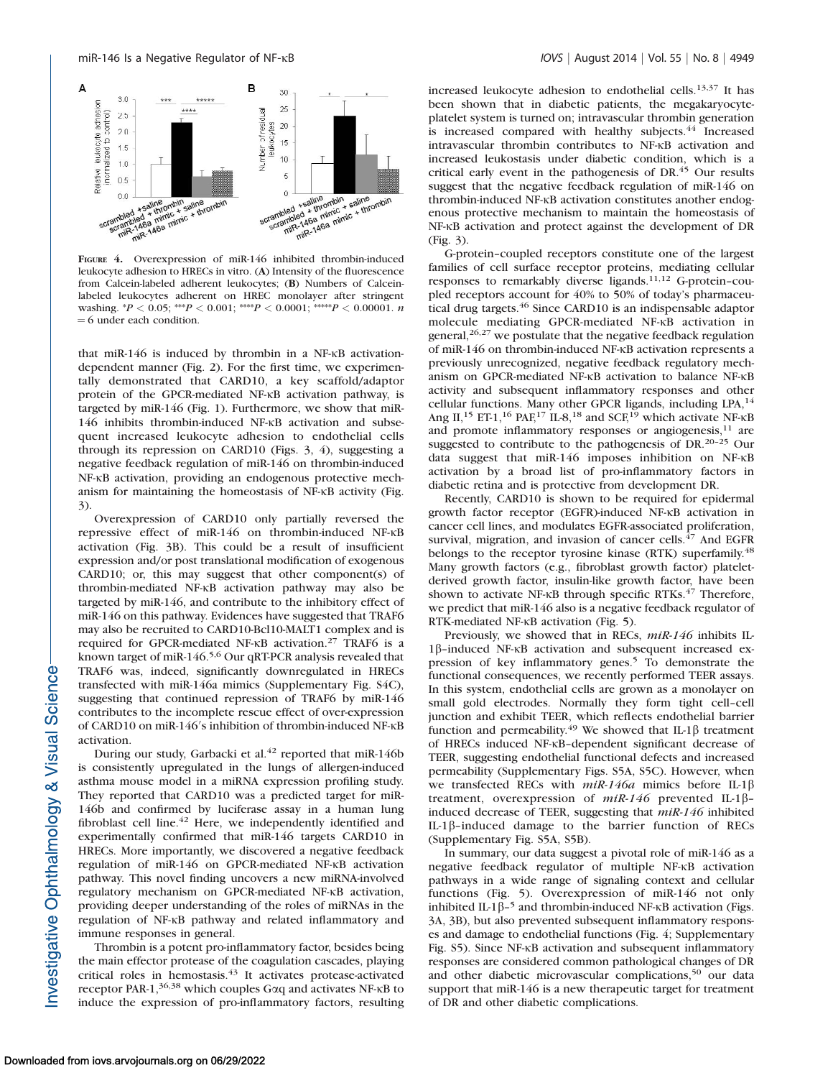

FIGURE 4. Overexpression of miR-146 inhibited thrombin-induced leukocyte adhesion to HRECs in vitro. (A) Intensity of the fluorescence from Calcein-labeled adherent leukocytes; (B) Numbers of Calceinlabeled leukocytes adherent on HREC monolayer after stringent washing.  ${}^*P$  < 0.05; \*\*\* $P$  < 0.001; \*\*\*\* $P$  < 0.0001; \*\*\*\*\* $P$  < 0.00001. n  $= 6$  under each condition.

that miR-146 is induced by thrombin in a NF- $\kappa$ B activationdependent manner (Fig. 2). For the first time, we experimentally demonstrated that CARD10, a key scaffold/adaptor protein of the GPCR-mediated NF-KB activation pathway, is targeted by miR-146 (Fig. 1). Furthermore, we show that miR-146 inhibits thrombin-induced NF-KB activation and subsequent increased leukocyte adhesion to endothelial cells through its repression on CARD10 (Figs. 3, 4), suggesting a negative feedback regulation of miR-146 on thrombin-induced NF-KB activation, providing an endogenous protective mechanism for maintaining the homeostasis of NF-KB activity (Fig. 3).

Overexpression of CARD10 only partially reversed the repressive effect of miR-146 on thrombin-induced NF-KB activation (Fig. 3B). This could be a result of insufficient expression and/or post translational modification of exogenous CARD10; or, this may suggest that other component(s) of thrombin-mediated NF-KB activation pathway may also be targeted by miR-146, and contribute to the inhibitory effect of miR-146 on this pathway. Evidences have suggested that TRAF6 may also be recruited to CARD10-Bcl10-MALT1 complex and is required for GPCR-mediated NF-KB activation.<sup>27</sup> TRAF6 is a known target of miR-146.<sup>5,6</sup> Our qRT-PCR analysis revealed that TRAF6 was, indeed, significantly downregulated in HRECs transfected with miR-146a mimics [\(Supplementary Fig. S4C\)](http://www.iovs.org/content/55/8/4944/suppl/DC1), suggesting that continued repression of TRAF6 by miR-146 contributes to the incomplete rescue effect of over-expression of CARD10 on miR-146's inhibition of thrombin-induced NF- $\kappa$ B activation.

During our study, Garbacki et al.<sup>42</sup> reported that miR-146b is consistently upregulated in the lungs of allergen-induced asthma mouse model in a miRNA expression profiling study. They reported that CARD10 was a predicted target for miR-146b and confirmed by luciferase assay in a human lung fibroblast cell line. $42$  Here, we independently identified and experimentally confirmed that miR-146 targets CARD10 in HRECs. More importantly, we discovered a negative feedback regulation of miR-146 on GPCR-mediated NF-KB activation pathway. This novel finding uncovers a new miRNA-involved regulatory mechanism on GPCR-mediated NF-KB activation, providing deeper understanding of the roles of miRNAs in the regulation of NF-KB pathway and related inflammatory and immune responses in general.

Thrombin is a potent pro-inflammatory factor, besides being the main effector protease of the coagulation cascades, playing critical roles in hemostasis.<sup>43</sup> It activates protease-activated receptor PAR-1,<sup>36,38</sup> which couples G $\alpha$ q and activates NF- $\kappa$ B to induce the expression of pro-inflammatory factors, resulting

increased leukocyte adhesion to endothelial cells.13,37 It has been shown that in diabetic patients, the megakaryocyteplatelet system is turned on; intravascular thrombin generation is increased compared with healthy subjects.<sup>44</sup> Increased intravascular thrombin contributes to NF-KB activation and increased leukostasis under diabetic condition, which is a critical early event in the pathogenesis of DR.<sup>45</sup> Our results suggest that the negative feedback regulation of miR-146 on thrombin-induced NF-KB activation constitutes another endogenous protective mechanism to maintain the homeostasis of NF-KB activation and protect against the development of DR (Fig. 3).

G-protein–coupled receptors constitute one of the largest families of cell surface receptor proteins, mediating cellular responses to remarkably diverse ligands.11,12 G-protein–coupled receptors account for 40% to 50% of today's pharmaceutical drug targets.<sup>46</sup> Since CARD10 is an indispensable adaptor molecule mediating GPCR-mediated NF-KB activation in general, $26,27$  we postulate that the negative feedback regulation of miR-146 on thrombin-induced NF-KB activation represents a previously unrecognized, negative feedback regulatory mechanism on GPCR-mediated NF-KB activation to balance NF-KB activity and subsequent inflammatory responses and other cellular functions. Many other GPCR ligands, including LPA,<sup>14</sup> Ang II,<sup>15</sup> ET-1,<sup>16</sup> PAF,<sup>17</sup> IL-8,<sup>18</sup> and SCF,<sup>19</sup> which activate NF- $\kappa$ B and promote inflammatory responses or angiogenesis, $11$  are suggested to contribute to the pathogenesis of DR.20–25 Our data suggest that  $miR-146$  imposes inhibition on NF- $k$ B activation by a broad list of pro-inflammatory factors in diabetic retina and is protective from development DR.

Recently, CARD10 is shown to be required for epidermal growth factor receptor (EGFR)-induced NF- $\kappa$ B activation in cancer cell lines, and modulates EGFR-associated proliferation, survival, migration, and invasion of cancer cells.<sup>47</sup> And EGFR belongs to the receptor tyrosine kinase (RTK) superfamily.<sup>48</sup> Many growth factors (e.g., fibroblast growth factor) plateletderived growth factor, insulin-like growth factor, have been shown to activate NF-KB through specific RTKs.<sup>47</sup> Therefore, we predict that miR-146 also is a negative feedback regulator of RTK-mediated NF- $\kappa$ B activation (Fig. 5).

Previously, we showed that in RECs, miR-146 inhibits IL- $1\beta$ -induced NF- $\kappa$ B activation and subsequent increased expression of key inflammatory genes.<sup>5</sup> To demonstrate the functional consequences, we recently performed TEER assays. In this system, endothelial cells are grown as a monolayer on small gold electrodes. Normally they form tight cell–cell junction and exhibit TEER, which reflects endothelial barrier function and permeability.<sup>49</sup> We showed that IL-1 $\beta$  treatment of HRECs induced NF-KB-dependent significant decrease of TEER, suggesting endothelial functional defects and increased permeability [\(Supplementary Figs. S5A, S5C\)](http://www.iovs.org/content/55/8/4944/suppl/DC1). However, when we transfected RECs with  $miR-146a$  mimics before IL-1 $\beta$ treatment, overexpression of  $miR-146$  prevented IL-1 $\beta$ induced decrease of TEER, suggesting that miR-146 inhibited IL-1 $\beta$ -induced damage to the barrier function of RECs [\(Supplementary Fig. S5A, S5B](http://www.iovs.org/content/55/8/4944/suppl/DC1)).

In summary, our data suggest a pivotal role of miR-146 as a negative feedback regulator of multiple NF-KB activation pathways in a wide range of signaling context and cellular functions (Fig. 5). Overexpression of miR-146 not only inhibited IL-1 $\beta$ –<sup>5</sup> and thrombin-induced NF- $\kappa$ B activation (Figs. 3A, 3B), but also prevented subsequent inflammatory responses and damage to endothelial functions (Fig. 4; [Supplementary](http://www.iovs.org/content/55/8/4944/suppl/DC1) [Fig. S5\)](http://www.iovs.org/content/55/8/4944/suppl/DC1). Since NF-KB activation and subsequent inflammatory responses are considered common pathological changes of DR and other diabetic microvascular complications,<sup>50</sup> our data support that miR-146 is a new therapeutic target for treatment of DR and other diabetic complications.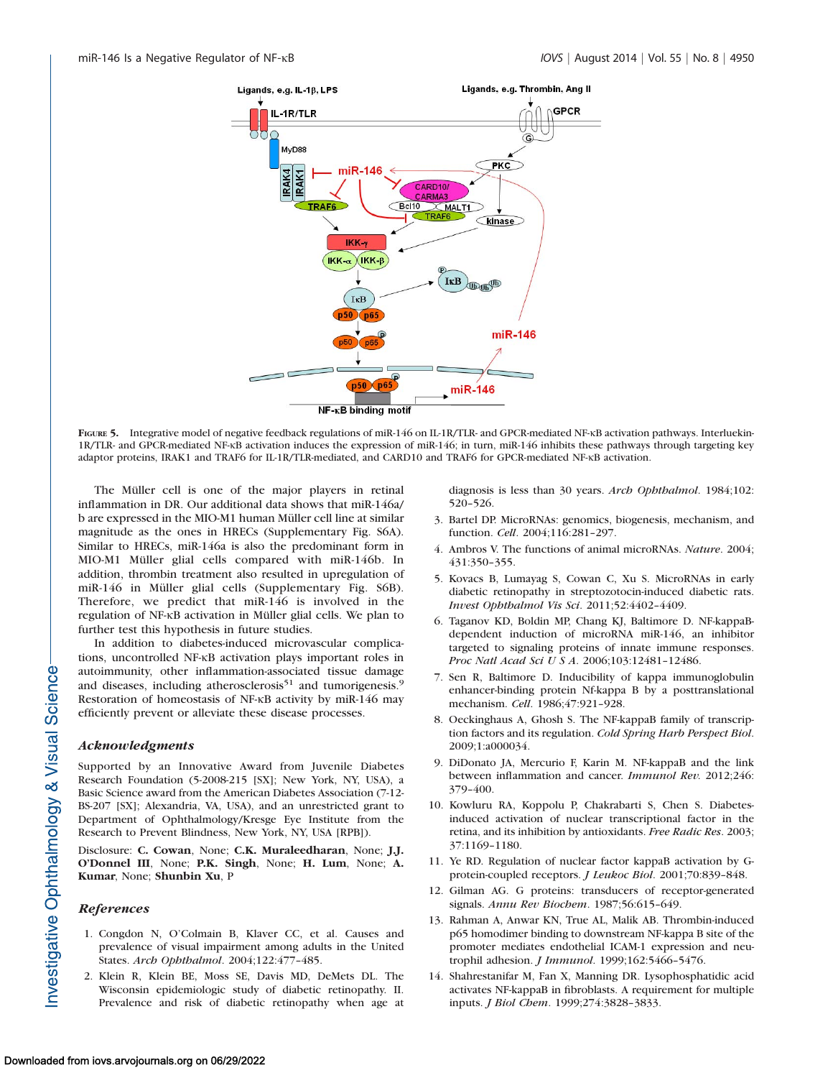

FIGURE 5. Integrative model of negative feedback regulations of miR-146 on IL-1R/TLR- and GPCR-mediated NF-KB activation pathways. Interluekin-1R/TLR- and GPCR-mediated NF-KB activation induces the expression of miR-146; in turn, miR-146 inhibits these pathways through targeting key adaptor proteins, IRAK1 and TRAF6 for IL-1R/TLR-mediated, and CARD10 and TRAF6 for GPCR-mediated NF-KB activation.

The Müller cell is one of the major players in retinal inflammation in DR. Our additional data shows that miR-146a/ b are expressed in the MIO-M1 human Muller cell line at similar ¨ magnitude as the ones in HRECs [\(Supplementary Fig. S6A](http://www.iovs.org/content/55/8/4944/suppl/DC1)). Similar to HRECs, miR-146a is also the predominant form in MIO-M1 Müller glial cells compared with miR-146b. In addition, thrombin treatment also resulted in upregulation of miR-146 in Müller glial cells ([Supplementary Fig. S6B](http://www.iovs.org/content/55/8/4944/suppl/DC1)). Therefore, we predict that miR-146 is involved in the regulation of NF-KB activation in Müller glial cells. We plan to further test this hypothesis in future studies.

In addition to diabetes-induced microvascular complications, uncontrolled NF-KB activation plays important roles in autoimmunity, other inflammation-associated tissue damage and diseases, including atherosclerosis<sup>51</sup> and tumorigenesis.<sup>9</sup> Restoration of homeostasis of NF-KB activity by miR-146 may efficiently prevent or alleviate these disease processes.

## Acknowledgments

Supported by an Innovative Award from Juvenile Diabetes Research Foundation (5-2008-215 [SX]; New York, NY, USA), a Basic Science award from the American Diabetes Association (7-12- BS-207 [SX]; Alexandria, VA, USA), and an unrestricted grant to Department of Ophthalmology/Kresge Eye Institute from the Research to Prevent Blindness, New York, NY, USA [RPB]).

Disclosure: C. Cowan, None; C.K. Muraleedharan, None; J.J. O'Donnel III, None; P.K. Singh, None; H. Lum, None; A. Kumar, None; Shunbin Xu, P

## References

- 1. Congdon N, O'Colmain B, Klaver CC, et al. Causes and prevalence of visual impairment among adults in the United States. Arch Ophthalmol. 2004;122:477–485.
- 2. Klein R, Klein BE, Moss SE, Davis MD, DeMets DL. The Wisconsin epidemiologic study of diabetic retinopathy. II. Prevalence and risk of diabetic retinopathy when age at

diagnosis is less than 30 years. Arch Ophthalmol. 1984;102: 520–526.

- 3. Bartel DP. MicroRNAs: genomics, biogenesis, mechanism, and function. Cell. 2004;116:281–297.
- 4. Ambros V. The functions of animal microRNAs. Nature. 2004; 431:350–355.
- 5. Kovacs B, Lumayag S, Cowan C, Xu S. MicroRNAs in early diabetic retinopathy in streptozotocin-induced diabetic rats. Invest Ophthalmol Vis Sci. 2011;52:4402–4409.
- 6. Taganov KD, Boldin MP, Chang KJ, Baltimore D. NF-kappaBdependent induction of microRNA miR-146, an inhibitor targeted to signaling proteins of innate immune responses. Proc Natl Acad Sci U S A. 2006;103:12481–12486.
- 7. Sen R, Baltimore D. Inducibility of kappa immunoglobulin enhancer-binding protein Nf-kappa B by a posttranslational mechanism. Cell. 1986;47:921–928.
- 8. Oeckinghaus A, Ghosh S. The NF-kappaB family of transcription factors and its regulation. Cold Spring Harb Perspect Biol. 2009;1:a000034.
- 9. DiDonato JA, Mercurio F, Karin M. NF-kappaB and the link between inflammation and cancer. Immunol Rev. 2012;246: 379–400.
- 10. Kowluru RA, Koppolu P, Chakrabarti S, Chen S. Diabetesinduced activation of nuclear transcriptional factor in the retina, and its inhibition by antioxidants. Free Radic Res. 2003; 37:1169–1180.
- 11. Ye RD. Regulation of nuclear factor kappaB activation by Gprotein-coupled receptors. J Leukoc Biol. 2001;70:839–848.
- 12. Gilman AG. G proteins: transducers of receptor-generated signals. Annu Rev Biochem. 1987;56:615–649.
- 13. Rahman A, Anwar KN, True AL, Malik AB. Thrombin-induced p65 homodimer binding to downstream NF-kappa B site of the promoter mediates endothelial ICAM-1 expression and neutrophil adhesion. J Immunol. 1999;162:5466–5476.
- 14. Shahrestanifar M, Fan X, Manning DR. Lysophosphatidic acid activates NF-kappaB in fibroblasts. A requirement for multiple inputs. J Biol Chem. 1999;274:3828–3833.